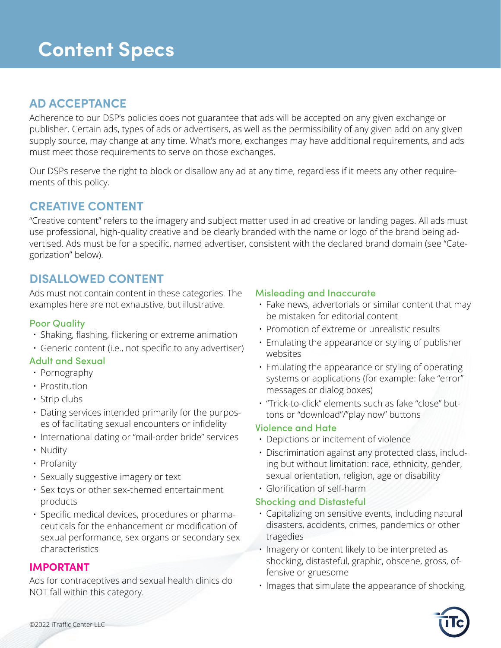# **AD ACCEPTANCE**

Adherence to our DSP's policies does not guarantee that ads will be accepted on any given exchange or publisher. Certain ads, types of ads or advertisers, as well as the permissibility of any given add on any given supply source, may change at any time. What's more, exchanges may have additional requirements, and ads must meet those requirements to serve on those exchanges.

Our DSPs reserve the right to block or disallow any ad at any time, regardless if it meets any other requirements of this policy.

# **CREATIVE CONTENT**

"Creative content" refers to the imagery and subject matter used in ad creative or landing pages. All ads must use professional, high-quality creative and be clearly branded with the name or logo of the brand being advertised. Ads must be for a specific, named advertiser, consistent with the declared brand domain (see "Categorization" below).

# **DISALLOWED CONTENT**

Ads must not contain content in these categories. The examples here are not exhaustive, but illustrative.

## Poor Quality

- Shaking, flashing, flickering or extreme animation
- Generic content (i.e., not specific to any advertiser)

## Adult and Sexual

- Pornography
- Prostitution
- Strip clubs
- Dating services intended primarily for the purposes of facilitating sexual encounters or infidelity
- International dating or "mail-order bride" services
- Nudity
- Profanity
- Sexually suggestive imagery or text
- Sex toys or other sex-themed entertainment products
- Specific medical devices, procedures or pharmaceuticals for the enhancement or modification of sexual performance, sex organs or secondary sex characteristics

## **IMPORTANT**

Ads for contraceptives and sexual health clinics do NOT fall within this category.

## Misleading and Inaccurate

- Fake news, advertorials or similar content that may be mistaken for editorial content
- Promotion of extreme or unrealistic results
- Emulating the appearance or styling of publisher websites
- Emulating the appearance or styling of operating systems or applications (for example: fake "error" messages or dialog boxes)
- "Trick-to-click" elements such as fake "close" buttons or "download"/"play now" buttons

## Violence and Hate

- Depictions or incitement of violence
- Discrimination against any protected class, including but without limitation: race, ethnicity, gender, sexual orientation, religion, age or disability
- Glorification of self-harm

## Shocking and Distasteful

- Capitalizing on sensitive events, including natural disasters, accidents, crimes, pandemics or other tragedies
- Imagery or content likely to be interpreted as shocking, distasteful, graphic, obscene, gross, offensive or gruesome
- Images that simulate the appearance of shocking,

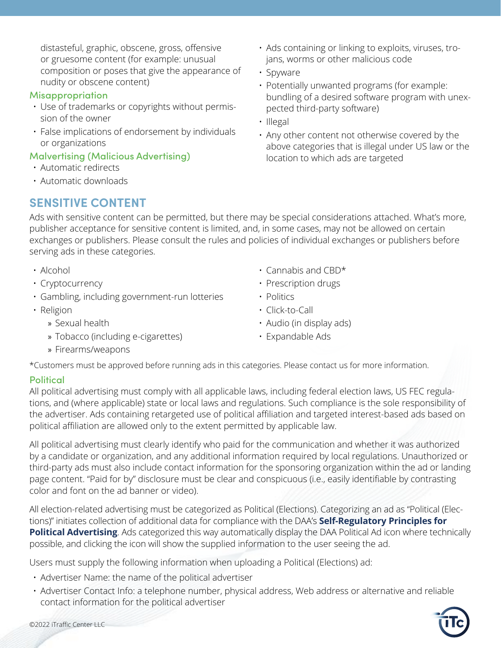distasteful, graphic, obscene, gross, offensive or gruesome content (for example: unusual composition or poses that give the appearance of nudity or obscene content)

#### Misappropriation

- Use of trademarks or copyrights without permission of the owner
- False implications of endorsement by individuals or organizations

#### Malvertising (Malicious Advertising)

- Automatic redirects
- Automatic downloads

# **SENSITIVE CONTENT**

Ads with sensitive content can be permitted, but there may be special considerations attached. What's more, publisher acceptance for sensitive content is limited, and, in some cases, may not be allowed on certain exchanges or publishers. Please consult the rules and policies of individual exchanges or publishers before serving ads in these categories.

- Alcohol
- Cryptocurrency
- Gambling, including government-run lotteries
- Religion
	- » Sexual health
	- » Tobacco (including e-cigarettes)
- Cannabis and CBD\*
- Prescription drugs
- Politics
- Click-to-Call
- Audio (in display ads)
- Expandable Ads

» Firearms/weapons

\*Customers must be approved before running ads in this categories. Please contact us for more information.

## **Political**

All political advertising must comply with all applicable laws, including federal election laws, US FEC regulations, and (where applicable) state or local laws and regulations. Such compliance is the sole responsibility of the advertiser. Ads containing retargeted use of political affiliation and targeted interest-based ads based on political affiliation are allowed only to the extent permitted by applicable law.

All political advertising must clearly identify who paid for the communication and whether it was authorized by a candidate or organization, and any additional information required by local regulations. Unauthorized or third-party ads must also include contact information for the sponsoring organization within the ad or landing page content. "Paid for by" disclosure must be clear and conspicuous (i.e., easily identifiable by contrasting color and font on the ad banner or video).

All election-related advertising must be categorized as Political (Elections). Categorizing an ad as "Political (Elections)" initiates collection of additional data for compliance with the DAA's **[Self-Regulatory Principles for](https://aboutpoliticalads.org/)  [Political Advertising](https://aboutpoliticalads.org/)**. Ads categorized this way automatically display the DAA Political Ad icon where technically possible, and clicking the icon will show the supplied information to the user seeing the ad.

Users must supply the following information when uploading a Political (Elections) ad:

- Advertiser Name: the name of the political advertiser
- Advertiser Contact Info: a telephone number, physical address, Web address or alternative and reliable contact information for the political advertiser



• Ads containing or linking to exploits, viruses, trojans, worms or other malicious code

- Spyware
- Potentially unwanted programs (for example: bundling of a desired software program with unexpected third-party software)
- Illegal
- Any other content not otherwise covered by the above categories that is illegal under US law or the location to which ads are targeted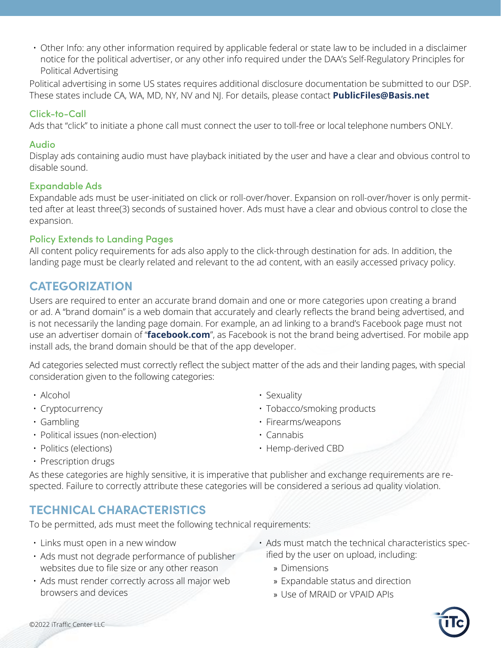• Other Info: any other information required by applicable federal or state law to be included in a disclaimer notice for the political advertiser, or any other info required under the DAA's Self-Regulatory Principles for Political Advertising

Political advertising in some US states requires additional disclosure documentation be submitted to our DSP. These states include CA, WA, MD, NY, NV and NJ. For details, please contact **[PublicFiles@Basis.net](mailto:PublicFiles@Basis.net)**

### Click-to-Call

Ads that "click" to initiate a phone call must connect the user to toll-free or local telephone numbers ONLY.

#### Audio

Display ads containing audio must have playback initiated by the user and have a clear and obvious control to disable sound.

#### Expandable Ads

Expandable ads must be user-initiated on click or roll-over/hover. Expansion on roll-over/hover is only permitted after at least three(3) seconds of sustained hover. Ads must have a clear and obvious control to close the expansion.

#### Policy Extends to Landing Pages

All content policy requirements for ads also apply to the click-through destination for ads. In addition, the landing page must be clearly related and relevant to the ad content, with an easily accessed privacy policy.

# **CATEGORIZATION**

Users are required to enter an accurate brand domain and one or more categories upon creating a brand or ad. A "brand domain" is a web domain that accurately and clearly reflects the brand being advertised, and is not necessarily the landing page domain. For example, an ad linking to a brand's Facebook page must not use an advertiser domain of "**[facebook.com](http://facebook.com)**", as Facebook is not the brand being advertised. For mobile app install ads, the brand domain should be that of the app developer.

Ad categories selected must correctly reflect the subject matter of the ads and their landing pages, with special consideration given to the following categories:

- Alcohol
- Cryptocurrency
- Gambling
- Political issues (non-election)
- Politics (elections)
- Sexuality
- Tobacco/smoking products
- Firearms/weapons
- Cannabis
- Hemp-derived CBD

• Prescription drugs

As these categories are highly sensitive, it is imperative that publisher and exchange requirements are respected. Failure to correctly attribute these categories will be considered a serious ad quality violation.

# **TECHNICAL CHARACTERISTICS**

To be permitted, ads must meet the following technical requirements:

- Links must open in a new window
- Ads must not degrade performance of publisher websites due to file size or any other reason
- Ads must render correctly across all major web browsers and devices
- Ads must match the technical characteristics specified by the user on upload, including:
	- » Dimensions
	- » Expandable status and direction
	- » Use of MRAID or VPAID APIs